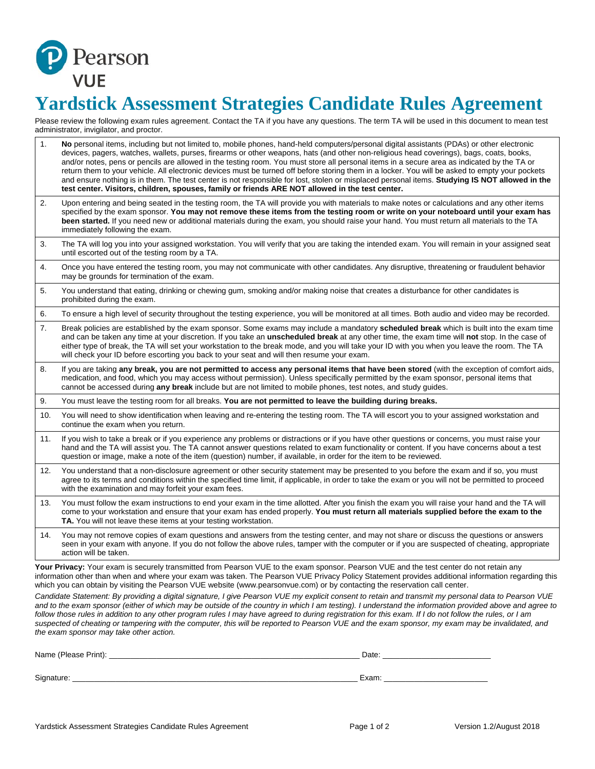

## **Yardstick Assessment Strategies Candidate Rules Agreement**

Please review the following exam rules agreement. Contact the TA if you have any questions. The term TA will be used in this document to mean test administrator, invigilator, and proctor.

| 1.  | No personal items, including but not limited to, mobile phones, hand-held computers/personal digital assistants (PDAs) or other electronic<br>devices, pagers, watches, wallets, purses, firearms or other weapons, hats (and other non-religious head coverings), bags, coats, books,<br>and/or notes, pens or pencils are allowed in the testing room. You must store all personal items in a secure area as indicated by the TA or<br>return them to your vehicle. All electronic devices must be turned off before storing them in a locker. You will be asked to empty your pockets<br>and ensure nothing is in them. The test center is not responsible for lost, stolen or misplaced personal items. Studying IS NOT allowed in the<br>test center. Visitors, children, spouses, family or friends ARE NOT allowed in the test center. |
|-----|-----------------------------------------------------------------------------------------------------------------------------------------------------------------------------------------------------------------------------------------------------------------------------------------------------------------------------------------------------------------------------------------------------------------------------------------------------------------------------------------------------------------------------------------------------------------------------------------------------------------------------------------------------------------------------------------------------------------------------------------------------------------------------------------------------------------------------------------------|
| 2.  | Upon entering and being seated in the testing room, the TA will provide you with materials to make notes or calculations and any other items<br>specified by the exam sponsor. You may not remove these items from the testing room or write on your noteboard until your exam has<br>been started. If you need new or additional materials during the exam, you should raise your hand. You must return all materials to the TA<br>immediately following the exam.                                                                                                                                                                                                                                                                                                                                                                           |
| 3.  | The TA will log you into your assigned workstation. You will verify that you are taking the intended exam. You will remain in your assigned seat<br>until escorted out of the testing room by a TA.                                                                                                                                                                                                                                                                                                                                                                                                                                                                                                                                                                                                                                           |
| 4.  | Once you have entered the testing room, you may not communicate with other candidates. Any disruptive, threatening or fraudulent behavior<br>may be grounds for termination of the exam.                                                                                                                                                                                                                                                                                                                                                                                                                                                                                                                                                                                                                                                      |
| 5.  | You understand that eating, drinking or chewing gum, smoking and/or making noise that creates a disturbance for other candidates is<br>prohibited during the exam.                                                                                                                                                                                                                                                                                                                                                                                                                                                                                                                                                                                                                                                                            |
| 6.  | To ensure a high level of security throughout the testing experience, you will be monitored at all times. Both audio and video may be recorded.                                                                                                                                                                                                                                                                                                                                                                                                                                                                                                                                                                                                                                                                                               |
| 7.  | Break policies are established by the exam sponsor. Some exams may include a mandatory scheduled break which is built into the exam time<br>and can be taken any time at your discretion. If you take an <b>unscheduled break</b> at any other time, the exam time will <b>not</b> stop. In the case of<br>either type of break, the TA will set your workstation to the break mode, and you will take your ID with you when you leave the room. The TA<br>will check your ID before escorting you back to your seat and will then resume your exam.                                                                                                                                                                                                                                                                                          |
| 8.  | If you are taking any break, you are not permitted to access any personal items that have been stored (with the exception of comfort aids,<br>medication, and food, which you may access without permission). Unless specifically permitted by the exam sponsor, personal items that<br>cannot be accessed during any break include but are not limited to mobile phones, test notes, and study guides.                                                                                                                                                                                                                                                                                                                                                                                                                                       |
| 9.  | You must leave the testing room for all breaks. You are not permitted to leave the building during breaks.                                                                                                                                                                                                                                                                                                                                                                                                                                                                                                                                                                                                                                                                                                                                    |
| 10. | You will need to show identification when leaving and re-entering the testing room. The TA will escort you to your assigned workstation and<br>continue the exam when you return.                                                                                                                                                                                                                                                                                                                                                                                                                                                                                                                                                                                                                                                             |
| 11. | If you wish to take a break or if you experience any problems or distractions or if you have other questions or concerns, you must raise your<br>hand and the TA will assist you. The TA cannot answer questions related to exam functionality or content. If you have concerns about a test<br>question or image, make a note of the item (question) number, if available, in order for the item to be reviewed.                                                                                                                                                                                                                                                                                                                                                                                                                             |
| 12. | You understand that a non-disclosure agreement or other security statement may be presented to you before the exam and if so, you must<br>agree to its terms and conditions within the specified time limit, if applicable, in order to take the exam or you will not be permitted to proceed<br>with the examination and may forfeit your exam fees.                                                                                                                                                                                                                                                                                                                                                                                                                                                                                         |
| 13. | You must follow the exam instructions to end your exam in the time allotted. After you finish the exam you will raise your hand and the TA will<br>come to your workstation and ensure that your exam has ended properly. You must return all materials supplied before the exam to the<br>TA. You will not leave these items at your testing workstation.                                                                                                                                                                                                                                                                                                                                                                                                                                                                                    |
| 14. | You may not remove copies of exam questions and answers from the testing center, and may not share or discuss the questions or answers<br>seen in your exam with anyone. If you do not follow the above rules, tamper with the computer or if you are suspected of cheating, appropriate<br>action will be taken.                                                                                                                                                                                                                                                                                                                                                                                                                                                                                                                             |
|     | Your Privacy: Your exam is securely transmitted from Pearson VUE to the exam sponsor. Pearson VUE and the test center do not retain any<br>information other than when and where your exam was taken. The Pearson VUE Privacy Policy Statement provides additional information regarding this<br>which you can obtain by visiting the Pearson VUE website (www.pearsonvue.com) or by contacting the reservation call center.                                                                                                                                                                                                                                                                                                                                                                                                                  |

*Candidate Statement: By providing a digital signature, I give Pearson VUE my explicit consent to retain and transmit my personal data to Pearson VUE and to the exam sponsor (either of which may be outside of the country in which I am testing). I understand the information provided above and agree to follow those rules in addition to any other program rules I may have agreed to during registration for this exam. If I do not follow the rules, or I am suspected of cheating or tampering with the computer, this will be reported to Pearson VUE and the exam sponsor, my exam may be invalidated, and the exam sponsor may take other action.* 

| Name (Please Print): | Date: |
|----------------------|-------|
|                      |       |
| Signature:           | Exam: |